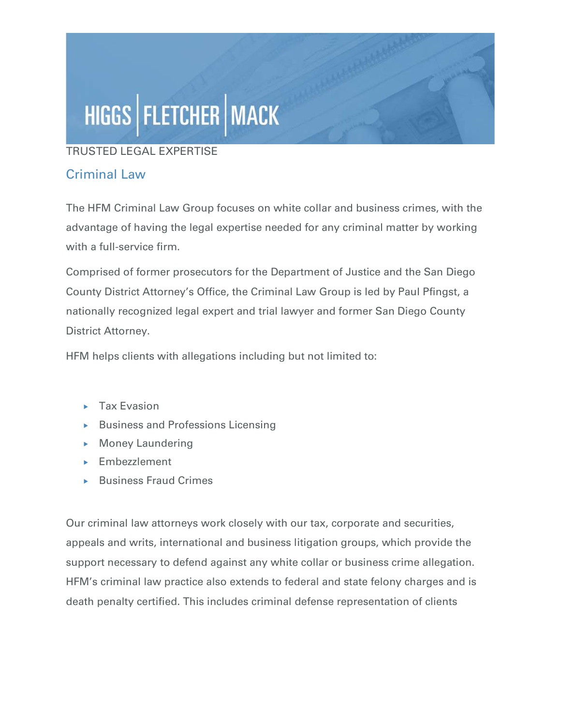# HIGGS | FLETCHER | MACK

#### TRUSTED LEGAL EXPERTISE

### Criminal Law

The HFM Criminal Law Group focuses on white collar and business crimes, with the advantage of having the legal expertise needed for any criminal matter by working with a full-service firm.

Comprised of former prosecutors for the Department of Justice and the San Diego County District Attorney's Office, the Criminal Law Group is led by Paul Pfingst, a nationally recognized legal expert and trial lawyer and former San Diego County District Attorney.

HFM helps clients with allegations including but not limited to:

- $\blacktriangleright$  Tax Evasion
- $\triangleright$  Business and Professions Licensing
- $\triangleright$  Money Laundering
- **Embezzlement**
- ▶ Business Fraud Crimes

Our criminal law attorneys work closely with our tax, corporate and securities, appeals and writs, international and business litigation groups, which provide the support necessary to defend against any white collar or business crime allegation. HFM's criminal law practice also extends to federal and state felony charges and is death penalty certified. This includes criminal defense representation of clients